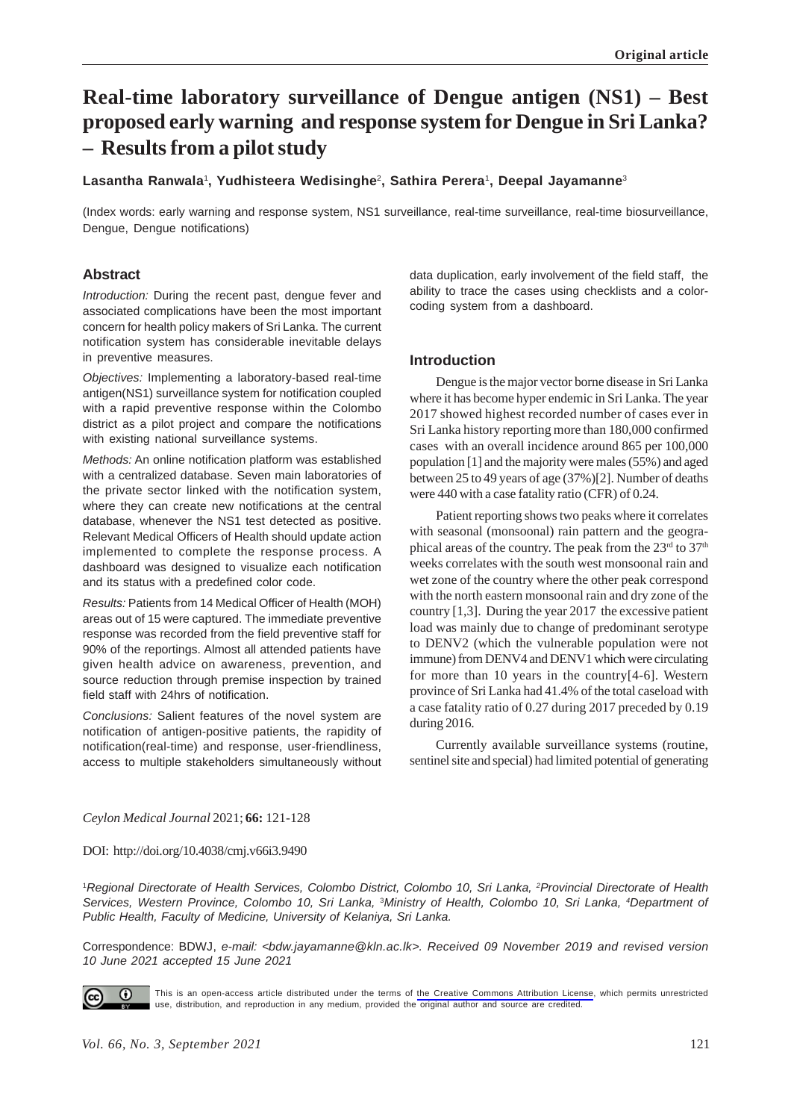# **Real-time laboratory surveillance of Dengue antigen (NS1) – Best proposed early warning and response system for Dengue in Sri Lanka? – Results from a pilot study**

**Lasantha Ranwala**<sup>1</sup> **, Yudhisteera Wedisinghe**2**, Sathira Perera**1**, Deepal Jayamanne**<sup>3</sup>

(Index words: early warning and response system, NS1 surveillance, real-time surveillance, real-time biosurveillance, Dengue, Dengue notifications)

# **Abstract**

*Introduction:* During the recent past, dengue fever and associated complications have been the most important concern for health policy makers of Sri Lanka. The current notification system has considerable inevitable delays in preventive measures.

*Objectives:* Implementing a laboratory-based real-time antigen(NS1) surveillance system for notification coupled with a rapid preventive response within the Colombo district as a pilot project and compare the notifications with existing national surveillance systems.

*Methods:* An online notification platform was established with a centralized database. Seven main laboratories of the private sector linked with the notification system, where they can create new notifications at the central database, whenever the NS1 test detected as positive. Relevant Medical Officers of Health should update action implemented to complete the response process. A dashboard was designed to visualize each notification and its status with a predefined color code.

*Results:* Patients from 14 Medical Officer of Health (MOH) areas out of 15 were captured. The immediate preventive response was recorded from the field preventive staff for 90% of the reportings. Almost all attended patients have given health advice on awareness, prevention, and source reduction through premise inspection by trained field staff with 24hrs of notification.

*Conclusions:* Salient features of the novel system are notification of antigen-positive patients, the rapidity of notification(real-time) and response, user-friendliness, access to multiple stakeholders simultaneously without data duplication, early involvement of the field staff, the ability to trace the cases using checklists and a colorcoding system from a dashboard.

# **Introduction**

Dengue is the major vector borne disease in Sri Lanka where it has become hyper endemic in Sri Lanka. The year 2017 showed highest recorded number of cases ever in Sri Lanka history reporting more than 180,000 confirmed cases with an overall incidence around 865 per 100,000 population [1] and the majority were males (55%) and aged between 25 to 49 years of age (37%)[2]. Number of deaths were 440 with a case fatality ratio (CFR) of 0.24.

Patient reporting shows two peaks where it correlates with seasonal (monsoonal) rain pattern and the geographical areas of the country. The peak from the  $23<sup>rd</sup>$  to  $37<sup>th</sup>$ weeks correlates with the south west monsoonal rain and wet zone of the country where the other peak correspond with the north eastern monsoonal rain and dry zone of the country [1,3]. During the year 2017 the excessive patient load was mainly due to change of predominant serotype to DENV2 (which the vulnerable population were not immune) from DENV4 and DENV1 which were circulating for more than 10 years in the country[4-6]. Western province of Sri Lanka had 41.4% of the total caseload with a case fatality ratio of 0.27 during 2017 preceded by 0.19 during 2016.

Currently available surveillance systems (routine, sentinel site and special) had limited potential of generating

#### *Ceylon Medical Journal* 2021; **66:** 121-128

DOI: http://doi.org/10.4038/cmj.v66i3.9490

1 *Regional Directorate of Health Services, Colombo District, Colombo 10, Sri Lanka, 2Provincial Directorate of Health Services, Western Province, Colombo 10, Sri Lanka,* 3*Ministry of Health, Colombo 10, Sri Lanka, 4Department of Public Health, Faculty of Medicine, University of Kelaniya, Sri Lanka.*

Correspondence: BDWJ, *e-mail: <bdw.jayamanne@kln.ac.lk>. Received 09 November 2019 and revised version 10 June 2021 accepted 15 June 2021*



This is an open-access article distributed under the terms of [the Creative Commons Attribution License](https://creativecommons.org/licenses/by/4.0/legalcode), which permits unrestricted use, distribution, and reproduction in any medium, provided the original author and source are credited.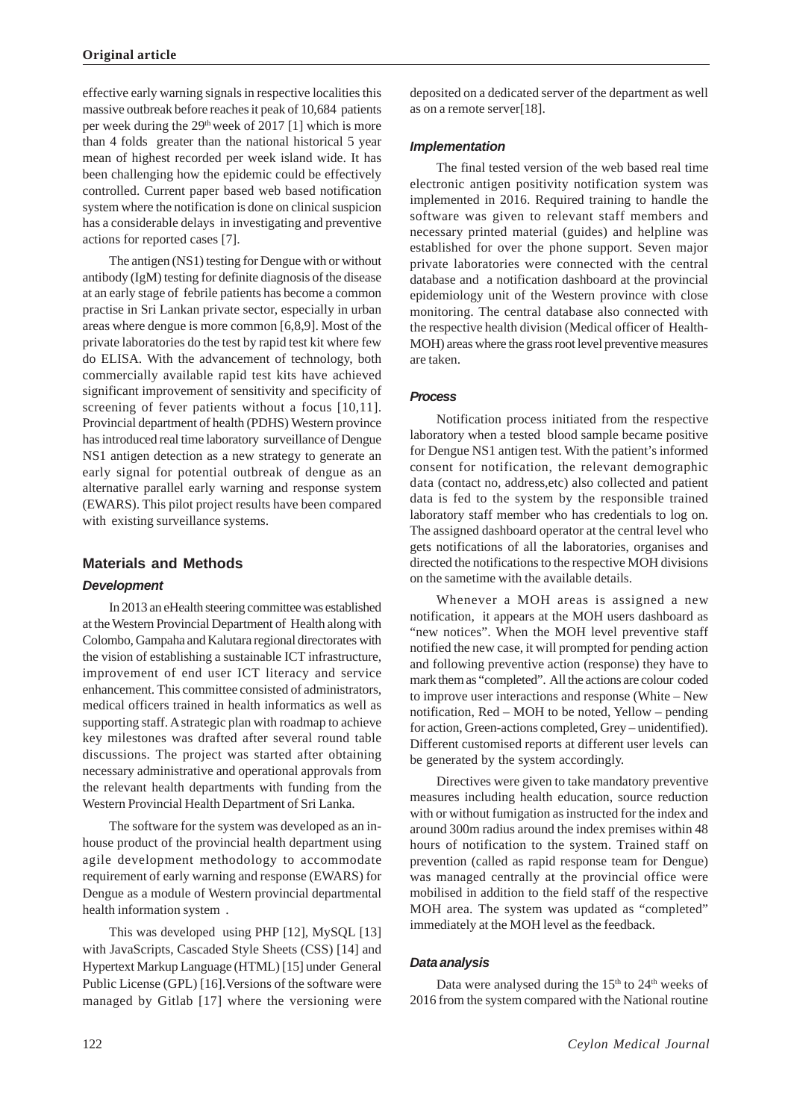effective early warning signals in respective localities this massive outbreak before reaches it peak of 10,684 patients per week during the  $29<sup>th</sup>$  week of 2017 [1] which is more than 4 folds greater than the national historical 5 year mean of highest recorded per week island wide. It has been challenging how the epidemic could be effectively controlled. Current paper based web based notification system where the notification is done on clinical suspicion has a considerable delays in investigating and preventive actions for reported cases [7].

The antigen (NS1) testing for Dengue with or without antibody (IgM) testing for definite diagnosis of the disease at an early stage of febrile patients has become a common practise in Sri Lankan private sector, especially in urban areas where dengue is more common [6,8,9]. Most of the private laboratories do the test by rapid test kit where few do ELISA. With the advancement of technology, both commercially available rapid test kits have achieved significant improvement of sensitivity and specificity of screening of fever patients without a focus [10,11]. Provincial department of health (PDHS) Western province has introduced real time laboratory surveillance of Dengue NS1 antigen detection as a new strategy to generate an early signal for potential outbreak of dengue as an alternative parallel early warning and response system (EWARS). This pilot project results have been compared with existing surveillance systems.

# **Materials and Methods**

### *Development*

In 2013 an eHealth steering committee was established at the Western Provincial Department of Health along with Colombo, Gampaha and Kalutara regional directorates with the vision of establishing a sustainable ICT infrastructure, improvement of end user ICT literacy and service enhancement. This committee consisted of administrators, medical officers trained in health informatics as well as supporting staff. A strategic plan with roadmap to achieve key milestones was drafted after several round table discussions. The project was started after obtaining necessary administrative and operational approvals from the relevant health departments with funding from the Western Provincial Health Department of Sri Lanka.

The software for the system was developed as an inhouse product of the provincial health department using agile development methodology to accommodate requirement of early warning and response (EWARS) for Dengue as a module of Western provincial departmental health information system .

This was developed using PHP [12], MySQL [13] with JavaScripts, Cascaded Style Sheets (CSS) [14] and Hypertext Markup Language (HTML) [15] under General Public License (GPL) [16].Versions of the software were managed by Gitlab [17] where the versioning were

deposited on a dedicated server of the department as well as on a remote server[18].

### *Implementation*

The final tested version of the web based real time electronic antigen positivity notification system was implemented in 2016. Required training to handle the software was given to relevant staff members and necessary printed material (guides) and helpline was established for over the phone support. Seven major private laboratories were connected with the central database and a notification dashboard at the provincial epidemiology unit of the Western province with close monitoring. The central database also connected with the respective health division (Medical officer of Health-MOH) areas where the grass root level preventive measures are taken.

# *Process*

Notification process initiated from the respective laboratory when a tested blood sample became positive for Dengue NS1 antigen test. With the patient's informed consent for notification, the relevant demographic data (contact no, address,etc) also collected and patient data is fed to the system by the responsible trained laboratory staff member who has credentials to log on. The assigned dashboard operator at the central level who gets notifications of all the laboratories, organises and directed the notifications to the respective MOH divisions on the sametime with the available details.

Whenever a MOH areas is assigned a new notification, it appears at the MOH users dashboard as "new notices". When the MOH level preventive staff notified the new case, it will prompted for pending action and following preventive action (response) they have to mark them as "completed". All the actions are colour coded to improve user interactions and response (White – New notification, Red – MOH to be noted, Yellow – pending for action, Green-actions completed, Grey – unidentified). Different customised reports at different user levels can be generated by the system accordingly.

Directives were given to take mandatory preventive measures including health education, source reduction with or without fumigation as instructed for the index and around 300m radius around the index premises within 48 hours of notification to the system. Trained staff on prevention (called as rapid response team for Dengue) was managed centrally at the provincial office were mobilised in addition to the field staff of the respective MOH area. The system was updated as "completed" immediately at the MOH level as the feedback.

### *Data analysis*

Data were analysed during the  $15<sup>th</sup>$  to  $24<sup>th</sup>$  weeks of 2016 from the system compared with the National routine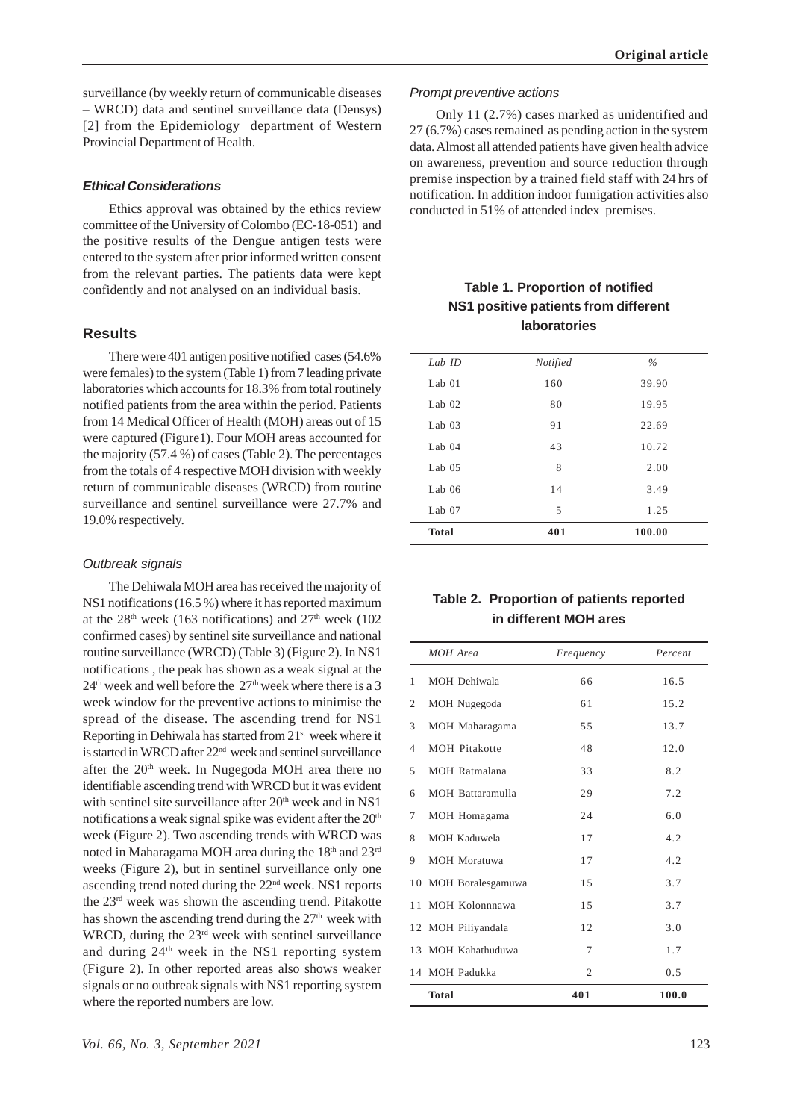surveillance (by weekly return of communicable diseases – WRCD) data and sentinel surveillance data (Densys) [2] from the Epidemiology department of Western Provincial Department of Health.

# *Ethical Considerations*

Ethics approval was obtained by the ethics review committee of the University of Colombo (EC-18-051) and the positive results of the Dengue antigen tests were entered to the system after prior informed written consent from the relevant parties. The patients data were kept confidently and not analysed on an individual basis.

# **Results**

There were 401 antigen positive notified cases (54.6% were females) to the system (Table 1) from 7 leading private laboratories which accounts for 18.3% from total routinely notified patients from the area within the period. Patients from 14 Medical Officer of Health (MOH) areas out of 15 were captured (Figure1). Four MOH areas accounted for the majority (57.4 %) of cases (Table 2). The percentages from the totals of 4 respective MOH division with weekly return of communicable diseases (WRCD) from routine surveillance and sentinel surveillance were 27.7% and 19.0% respectively.

# *Outbreak signals*

The Dehiwala MOH area has received the majority of NS1 notifications (16.5 %) where it has reported maximum at the  $28<sup>th</sup>$  week (163 notifications) and  $27<sup>th</sup>$  week (102 confirmed cases) by sentinel site surveillance and national routine surveillance (WRCD) (Table 3) (Figure 2). In NS1 notifications , the peak has shown as a weak signal at the  $24<sup>th</sup>$  week and well before the  $27<sup>th</sup>$  week where there is a 3 week window for the preventive actions to minimise the spread of the disease. The ascending trend for NS1 Reporting in Dehiwala has started from 21st week where it is started in WRCD after 22<sup>nd</sup> week and sentinel surveillance after the 20th week. In Nugegoda MOH area there no identifiable ascending trend with WRCD but it was evident with sentinel site surveillance after  $20<sup>th</sup>$  week and in NS1 notifications a weak signal spike was evident after the 20<sup>th</sup> week (Figure 2). Two ascending trends with WRCD was noted in Maharagama MOH area during the 18<sup>th</sup> and 23<sup>rd</sup> weeks (Figure 2), but in sentinel surveillance only one ascending trend noted during the 22nd week. NS1 reports the 23rd week was shown the ascending trend. Pitakotte has shown the ascending trend during the  $27<sup>th</sup>$  week with WRCD, during the 23<sup>rd</sup> week with sentinel surveillance and during 24th week in the NS1 reporting system (Figure 2). In other reported areas also shows weaker signals or no outbreak signals with NS1 reporting system where the reported numbers are low.

### *Prompt preventive actions*

Only 11 (2.7%) cases marked as unidentified and 27 (6.7%) cases remained as pending action in the system data. Almost all attended patients have given health advice on awareness, prevention and source reduction through premise inspection by a trained field staff with 24 hrs of notification. In addition indoor fumigation activities also conducted in 51% of attended index premises.

# **Table 1. Proportion of notified NS1 positive patients from different laboratories**

| Lab ID       | Notified | $\frac{0}{0}$ |
|--------------|----------|---------------|
| Lab $01$     | 160      | 39.90         |
| Lab $02$     | 80       | 19.95         |
| Lab $03$     | 91       | 22.69         |
| Lab $04$     | 43       | 10.72         |
| Lab $05$     | 8        | 2.00          |
| Lab $06$     | 14       | 3.49          |
| Lab $07$     | 5        | 1.25          |
| <b>Total</b> | 401      | 100.00        |
|              |          |               |

# **Table 2. Proportion of patients reported in different MOH ares**

|    | <b>MOH</b> Area      | Frequency      | Percent |
|----|----------------------|----------------|---------|
| 1  | MOH Dehiwala         | 66             | 16.5    |
| 2  | MOH Nugegoda         | 61             | 15.2    |
| 3  | MOH Maharagama       | 55             | 13.7    |
| 4  | <b>MOH Pitakotte</b> | 48             | 12.0    |
| 5  | MOH Ratmalana        | 33             | 8.2     |
| 6  | MOH Battaramulla     | 29             | 7.2     |
| 7  | MOH Homagama         | 24             | 6.0     |
| 8  | <b>MOH Kaduwela</b>  | 17             | 4.2     |
| 9  | <b>MOH</b> Moratuwa  | 17             | 4.2     |
|    | 10 MOH Boralesgamuwa | 15             | 3.7     |
| 11 | MOH Kolonnnawa       | 15             | 3.7     |
|    | 12 MOH Piliyandala   | 12             | 3.0     |
|    | 13 MOH Kahathuduwa   | 7              | 1.7     |
|    | 14 MOH Padukka       | $\overline{2}$ | 0.5     |
|    | <b>Total</b>         | 401            | 100.0   |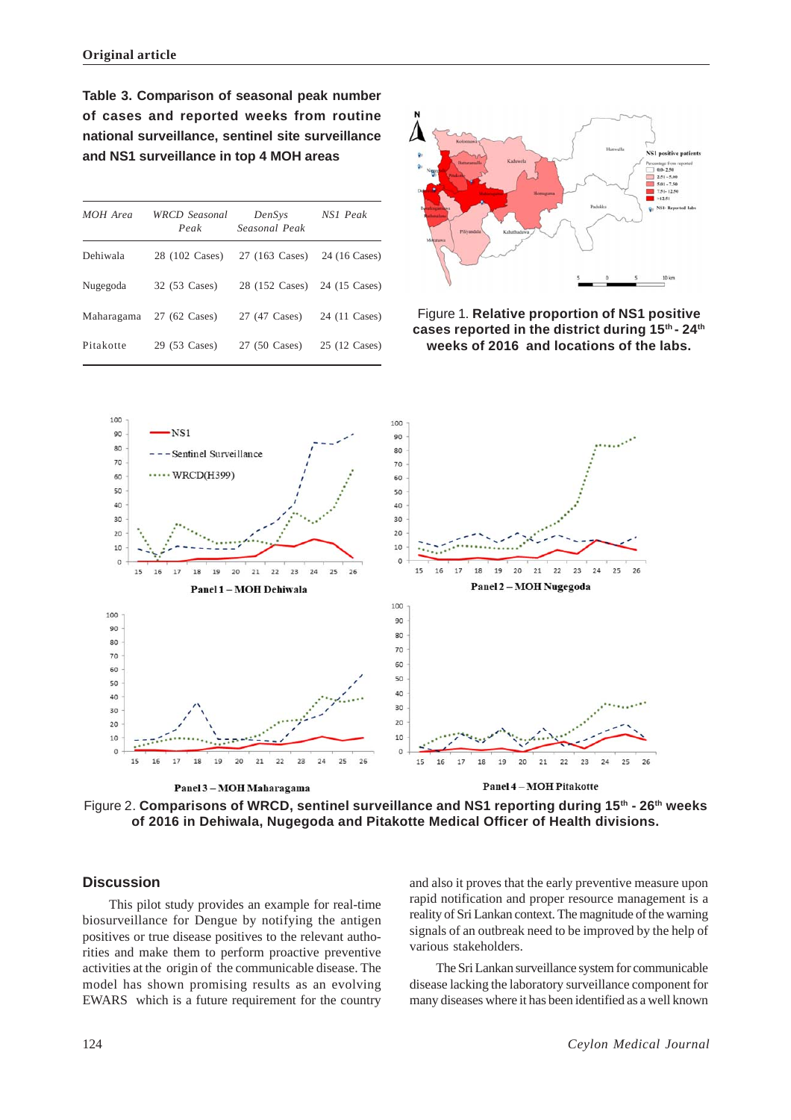**Table 3. Comparison of seasonal peak number of cases and reported weeks from routine national surveillance, sentinel site surveillance and NS1 surveillance in top 4 MOH areas**

| MOH Area  | WRCD Seasonal<br>Peak    | DenSys<br>Seasonal Peak                     | NS1 Peak |
|-----------|--------------------------|---------------------------------------------|----------|
| Dehiwala  |                          | 28 (102 Cases) 27 (163 Cases) 24 (16 Cases) |          |
| Nugegoda  | 32 (53 Cases)            | 28 (152 Cases) 24 (15 Cases)                |          |
|           | Maharagama 27 (62 Cases) | 27 (47 Cases) 24 (11 Cases)                 |          |
| Pitakotte | 29 (53 Cases)            | 27 (50 Cases) 25 (12 Cases)                 |          |



Figure 1. **Relative proportion of NS1 positive cases reported in the district during 15th - 24th weeks of 2016 and locations of the labs.**



Figure 2. **Comparisons of WRCD, sentinel surveillance and NS1 reporting during 15th - 26th weeks of 2016 in Dehiwala, Nugegoda and Pitakotte Medical Officer of Health divisions.**

# **Discussion**

This pilot study provides an example for real-time biosurveillance for Dengue by notifying the antigen positives or true disease positives to the relevant authorities and make them to perform proactive preventive activities at the origin of the communicable disease. The model has shown promising results as an evolving EWARS which is a future requirement for the country

and also it proves that the early preventive measure upon rapid notification and proper resource management is a reality of Sri Lankan context. The magnitude of the warning signals of an outbreak need to be improved by the help of various stakeholders.

The Sri Lankan surveillance system for communicable disease lacking the laboratory surveillance component for many diseases where it has been identified as a well known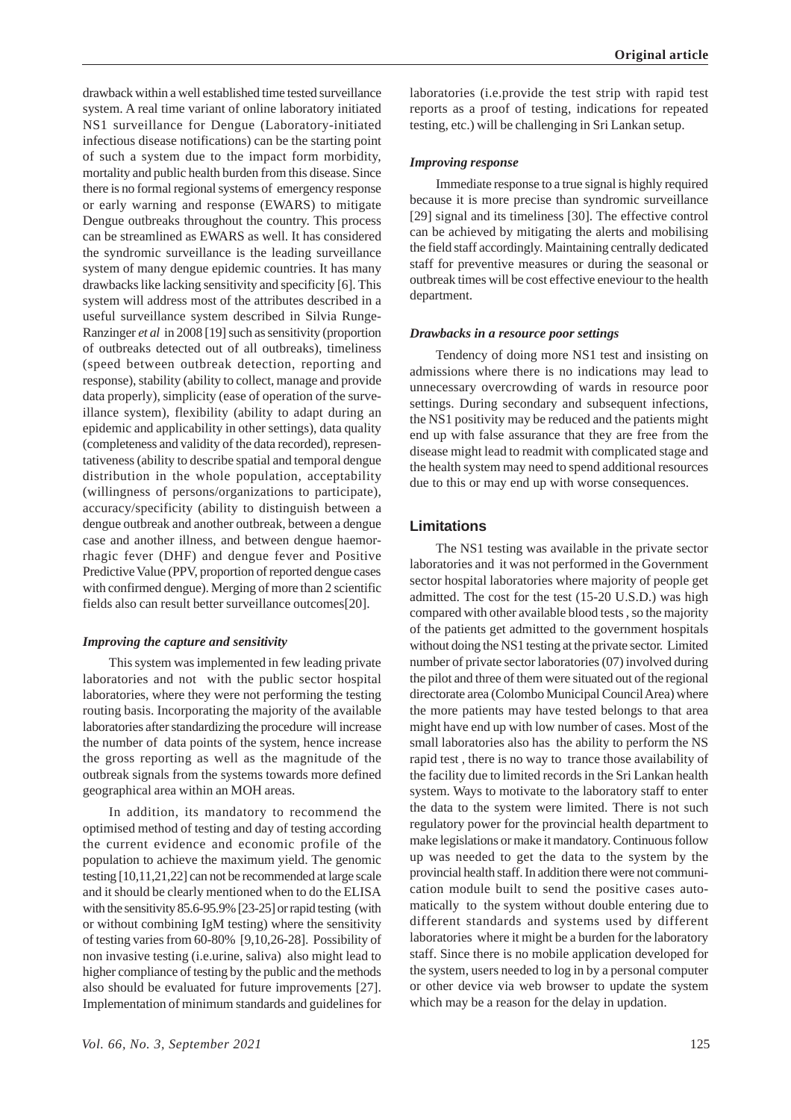drawback within a well established time tested surveillance system. A real time variant of online laboratory initiated NS1 surveillance for Dengue (Laboratory-initiated infectious disease notifications) can be the starting point of such a system due to the impact form morbidity, mortality and public health burden from this disease. Since there is no formal regional systems of emergency response or early warning and response (EWARS) to mitigate Dengue outbreaks throughout the country. This process can be streamlined as EWARS as well. It has considered the syndromic surveillance is the leading surveillance system of many dengue epidemic countries. It has many drawbacks like lacking sensitivity and specificity [6]. This system will address most of the attributes described in a useful surveillance system described in Silvia Runge-Ranzinger *et al* in 2008 [19] such as sensitivity (proportion of outbreaks detected out of all outbreaks), timeliness (speed between outbreak detection, reporting and response), stability (ability to collect, manage and provide data properly), simplicity (ease of operation of the surveillance system), flexibility (ability to adapt during an epidemic and applicability in other settings), data quality (completeness and validity of the data recorded), representativeness (ability to describe spatial and temporal dengue distribution in the whole population, acceptability (willingness of persons/organizations to participate), accuracy/specificity (ability to distinguish between a dengue outbreak and another outbreak, between a dengue case and another illness, and between dengue haemorrhagic fever (DHF) and dengue fever and Positive Predictive Value (PPV, proportion of reported dengue cases with confirmed dengue). Merging of more than 2 scientific fields also can result better surveillance outcomes[20].

#### *Improving the capture and sensitivity*

This system was implemented in few leading private laboratories and not with the public sector hospital laboratories, where they were not performing the testing routing basis. Incorporating the majority of the available laboratories after standardizing the procedure will increase the number of data points of the system, hence increase the gross reporting as well as the magnitude of the outbreak signals from the systems towards more defined geographical area within an MOH areas.

In addition, its mandatory to recommend the optimised method of testing and day of testing according the current evidence and economic profile of the population to achieve the maximum yield. The genomic testing [10,11,21,22] can not be recommended at large scale and it should be clearly mentioned when to do the ELISA with the sensitivity 85.6-95.9% [23-25] or rapid testing (with or without combining IgM testing) where the sensitivity of testing varies from 60-80% [9,10,26-28]. Possibility of non invasive testing (i.e.urine, saliva) also might lead to higher compliance of testing by the public and the methods also should be evaluated for future improvements [27]. Implementation of minimum standards and guidelines for

laboratories (i.e.provide the test strip with rapid test reports as a proof of testing, indications for repeated testing, etc.) will be challenging in Sri Lankan setup.

#### *Improving response*

Immediate response to a true signal is highly required because it is more precise than syndromic surveillance [29] signal and its timeliness [30]. The effective control can be achieved by mitigating the alerts and mobilising the field staff accordingly. Maintaining centrally dedicated staff for preventive measures or during the seasonal or outbreak times will be cost effective eneviour to the health department.

#### *Drawbacks in a resource poor settings*

Tendency of doing more NS1 test and insisting on admissions where there is no indications may lead to unnecessary overcrowding of wards in resource poor settings. During secondary and subsequent infections, the NS1 positivity may be reduced and the patients might end up with false assurance that they are free from the disease might lead to readmit with complicated stage and the health system may need to spend additional resources due to this or may end up with worse consequences.

### **Limitations**

The NS1 testing was available in the private sector laboratories and it was not performed in the Government sector hospital laboratories where majority of people get admitted. The cost for the test (15-20 U.S.D.) was high compared with other available blood tests , so the majority of the patients get admitted to the government hospitals without doing the NS1 testing at the private sector. Limited number of private sector laboratories (07) involved during the pilot and three of them were situated out of the regional directorate area (Colombo Municipal Council Area) where the more patients may have tested belongs to that area might have end up with low number of cases. Most of the small laboratories also has the ability to perform the NS rapid test , there is no way to trance those availability of the facility due to limited records in the Sri Lankan health system. Ways to motivate to the laboratory staff to enter the data to the system were limited. There is not such regulatory power for the provincial health department to make legislations or make it mandatory. Continuous follow up was needed to get the data to the system by the provincial health staff. In addition there were not communication module built to send the positive cases automatically to the system without double entering due to different standards and systems used by different laboratories where it might be a burden for the laboratory staff. Since there is no mobile application developed for the system, users needed to log in by a personal computer or other device via web browser to update the system which may be a reason for the delay in updation.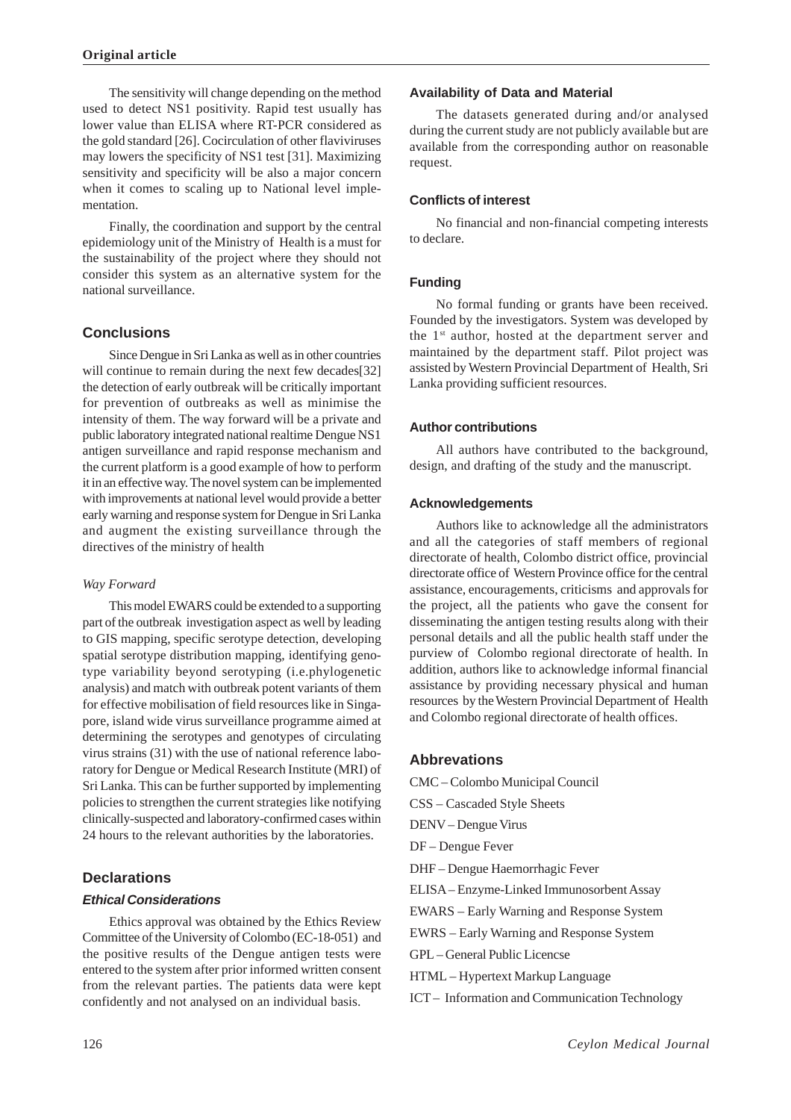The sensitivity will change depending on the method used to detect NS1 positivity. Rapid test usually has lower value than ELISA where RT-PCR considered as the gold standard [26]. Cocirculation of other flaviviruses may lowers the specificity of NS1 test [31]. Maximizing sensitivity and specificity will be also a major concern when it comes to scaling up to National level implementation.

Finally, the coordination and support by the central epidemiology unit of the Ministry of Health is a must for the sustainability of the project where they should not consider this system as an alternative system for the national surveillance.

# **Conclusions**

Since Dengue in Sri Lanka as well as in other countries will continue to remain during the next few decades[32] the detection of early outbreak will be critically important for prevention of outbreaks as well as minimise the intensity of them. The way forward will be a private and public laboratory integrated national realtime Dengue NS1 antigen surveillance and rapid response mechanism and the current platform is a good example of how to perform it in an effective way. The novel system can be implemented with improvements at national level would provide a better early warning and response system for Dengue in Sri Lanka and augment the existing surveillance through the directives of the ministry of health

### *Way Forward*

This model EWARS could be extended to a supporting part of the outbreak investigation aspect as well by leading to GIS mapping, specific serotype detection, developing spatial serotype distribution mapping, identifying genotype variability beyond serotyping (i.e.phylogenetic analysis) and match with outbreak potent variants of them for effective mobilisation of field resources like in Singapore, island wide virus surveillance programme aimed at determining the serotypes and genotypes of circulating virus strains (31) with the use of national reference laboratory for Dengue or Medical Research Institute (MRI) of Sri Lanka. This can be further supported by implementing policies to strengthen the current strategies like notifying clinically-suspected and laboratory-confirmed cases within 24 hours to the relevant authorities by the laboratories.

# **Declarations**

# *Ethical Considerations*

Ethics approval was obtained by the Ethics Review Committee of the University of Colombo (EC-18-051) and the positive results of the Dengue antigen tests were entered to the system after prior informed written consent from the relevant parties. The patients data were kept confidently and not analysed on an individual basis.

# **Availability of Data and Material**

The datasets generated during and/or analysed during the current study are not publicly available but are available from the corresponding author on reasonable request.

# **Conflicts of interest**

No financial and non-financial competing interests to declare.

# **Funding**

No formal funding or grants have been received. Founded by the investigators. System was developed by the 1st author, hosted at the department server and maintained by the department staff. Pilot project was assisted by Western Provincial Department of Health, Sri Lanka providing sufficient resources.

# **Author contributions**

All authors have contributed to the background, design, and drafting of the study and the manuscript.

# **Acknowledgements**

Authors like to acknowledge all the administrators and all the categories of staff members of regional directorate of health, Colombo district office, provincial directorate office of Western Province office for the central assistance, encouragements, criticisms and approvals for the project, all the patients who gave the consent for disseminating the antigen testing results along with their personal details and all the public health staff under the purview of Colombo regional directorate of health. In addition, authors like to acknowledge informal financial assistance by providing necessary physical and human resources by the Western Provincial Department of Health and Colombo regional directorate of health offices.

# **Abbrevations**

CMC – Colombo Municipal Council CSS – Cascaded Style Sheets DENV – Dengue Virus DF – Dengue Fever DHF – Dengue Haemorrhagic Fever ELISA – Enzyme-Linked Immunosorbent Assay EWARS – Early Warning and Response System EWRS – Early Warning and Response System GPL – General Public Licencse HTML – Hypertext Markup Language ICT – Information and Communication Technology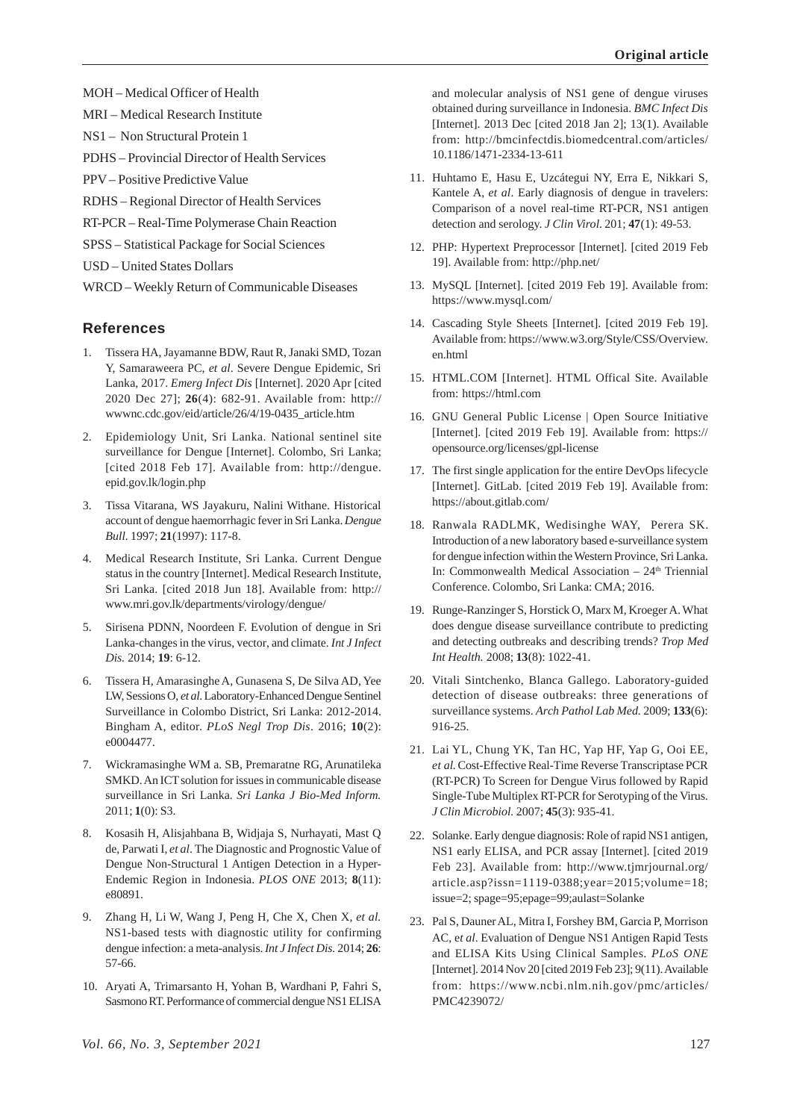MOH – Medical Officer of Health

MRI – Medical Research Institute

NS1 – Non Structural Protein 1

PDHS – Provincial Director of Health Services

PPV – Positive Predictive Value

RDHS – Regional Director of Health Services

RT-PCR – Real-Time Polymerase Chain Reaction

SPSS – Statistical Package for Social Sciences

USD – United States Dollars

WRCD – Weekly Return of Communicable Diseases

# **References**

- 1. Tissera HA, Jayamanne BDW, Raut R, Janaki SMD, Tozan Y, Samaraweera PC, *et al*. Severe Dengue Epidemic, Sri Lanka, 2017. *Emerg Infect Dis* [Internet]. 2020 Apr [cited 2020 Dec 27]; **26**(4): 682-91. Available from: http:// wwwnc.cdc.gov/eid/article/26/4/19-0435\_article.htm
- 2. Epidemiology Unit, Sri Lanka. National sentinel site surveillance for Dengue [Internet]. Colombo, Sri Lanka; [cited 2018 Feb 17]. Available from: http://dengue. epid.gov.lk/login.php
- 3. Tissa Vitarana, WS Jayakuru, Nalini Withane. Historical account of dengue haemorrhagic fever in Sri Lanka. *Dengue Bull.* 1997; **21**(1997): 117-8.
- 4. Medical Research Institute, Sri Lanka. Current Dengue status in the country [Internet]. Medical Research Institute, Sri Lanka. [cited 2018 Jun 18]. Available from: http:// www.mri.gov.lk/departments/virology/dengue/
- 5. Sirisena PDNN, Noordeen F. Evolution of dengue in Sri Lanka-changes in the virus, vector, and climate. *Int J Infect Dis.* 2014; **19**: 6-12.
- 6. Tissera H, Amarasinghe A, Gunasena S, De Silva AD, Yee LW, Sessions O, *et al*. Laboratory-Enhanced Dengue Sentinel Surveillance in Colombo District, Sri Lanka: 2012-2014. Bingham A, editor. *PLoS Negl Trop Dis*. 2016; **10**(2): e0004477.
- 7. Wickramasinghe WM a. SB, Premaratne RG, Arunatileka SMKD. An ICT solution for issues in communicable disease surveillance in Sri Lanka. *Sri Lanka J Bio-Med Inform.* 2011; **1**(0): S3.
- 8. Kosasih H, Alisjahbana B, Widjaja S, Nurhayati, Mast Q de, Parwati I, *et al*. The Diagnostic and Prognostic Value of Dengue Non-Structural 1 Antigen Detection in a Hyper-Endemic Region in Indonesia. *PLOS ONE* 2013; **8**(11): e80891.
- 9. Zhang H, Li W, Wang J, Peng H, Che X, Chen X, *et al.* NS1-based tests with diagnostic utility for confirming dengue infection: a meta-analysis. *Int J Infect Dis.* 2014; **26**: 57-66.
- 10. Aryati A, Trimarsanto H, Yohan B, Wardhani P, Fahri S, Sasmono RT. Performance of commercial dengue NS1 ELISA

and molecular analysis of NS1 gene of dengue viruses obtained during surveillance in Indonesia. *BMC Infect Dis* [Internet]. 2013 Dec [cited 2018 Jan 2]; 13(1). Available from: http://bmcinfectdis.biomedcentral.com/articles/ 10.1186/1471-2334-13-611

- 11. Huhtamo E, Hasu E, Uzcátegui NY, Erra E, Nikkari S, Kantele A, *et al*. Early diagnosis of dengue in travelers: Comparison of a novel real-time RT-PCR, NS1 antigen detection and serology. *J Clin Virol.* 201; **47**(1): 49-53.
- 12. PHP: Hypertext Preprocessor [Internet]. [cited 2019 Feb 19]. Available from: http://php.net/
- 13. MySQL [Internet]. [cited 2019 Feb 19]. Available from: https://www.mysql.com/
- 14. Cascading Style Sheets [Internet]. [cited 2019 Feb 19]. Available from: https://www.w3.org/Style/CSS/Overview. en.html
- 15. HTML.COM [Internet]. HTML Offical Site. Available from: https://html.com
- 16. GNU General Public License | Open Source Initiative [Internet]. [cited 2019 Feb 19]. Available from: https:// opensource.org/licenses/gpl-license
- 17. The first single application for the entire DevOps lifecycle [Internet]. GitLab. [cited 2019 Feb 19]. Available from: https://about.gitlab.com/
- 18. Ranwala RADLMK, Wedisinghe WAY, Perera SK. Introduction of a new laboratory based e-surveillance system for dengue infection within the Western Province, Sri Lanka. In: Commonwealth Medical Association - 24<sup>th</sup> Triennial Conference. Colombo, Sri Lanka: CMA; 2016.
- 19. Runge-Ranzinger S, Horstick O, Marx M, Kroeger A. What does dengue disease surveillance contribute to predicting and detecting outbreaks and describing trends? *Trop Med Int Health.* 2008; **13**(8): 1022-41.
- 20. Vitali Sintchenko, Blanca Gallego. Laboratory-guided detection of disease outbreaks: three generations of surveillance systems. *Arch Pathol Lab Med.* 2009; **133**(6): 916-25.
- 21. Lai YL, Chung YK, Tan HC, Yap HF, Yap G, Ooi EE, *et al.* Cost-Effective Real-Time Reverse Transcriptase PCR (RT-PCR) To Screen for Dengue Virus followed by Rapid Single-Tube Multiplex RT-PCR for Serotyping of the Virus. *J Clin Microbiol.* 2007; **45**(3): 935-41.
- 22. Solanke. Early dengue diagnosis: Role of rapid NS1 antigen, NS1 early ELISA, and PCR assay [Internet]. [cited 2019 Feb 23]. Available from: http://www.tjmrjournal.org/ article.asp?issn=1119-0388;year=2015;volume=18; issue=2; spage=95;epage=99;aulast=Solanke
- 23. Pal S, Dauner AL, Mitra I, Forshey BM, Garcia P, Morrison AC, e*t al*. Evaluation of Dengue NS1 Antigen Rapid Tests and ELISA Kits Using Clinical Samples. *PLoS ONE* [Internet]. 2014 Nov 20 [cited 2019 Feb 23]; 9(11). Available from: https://www.ncbi.nlm.nih.gov/pmc/articles/ PMC4239072/